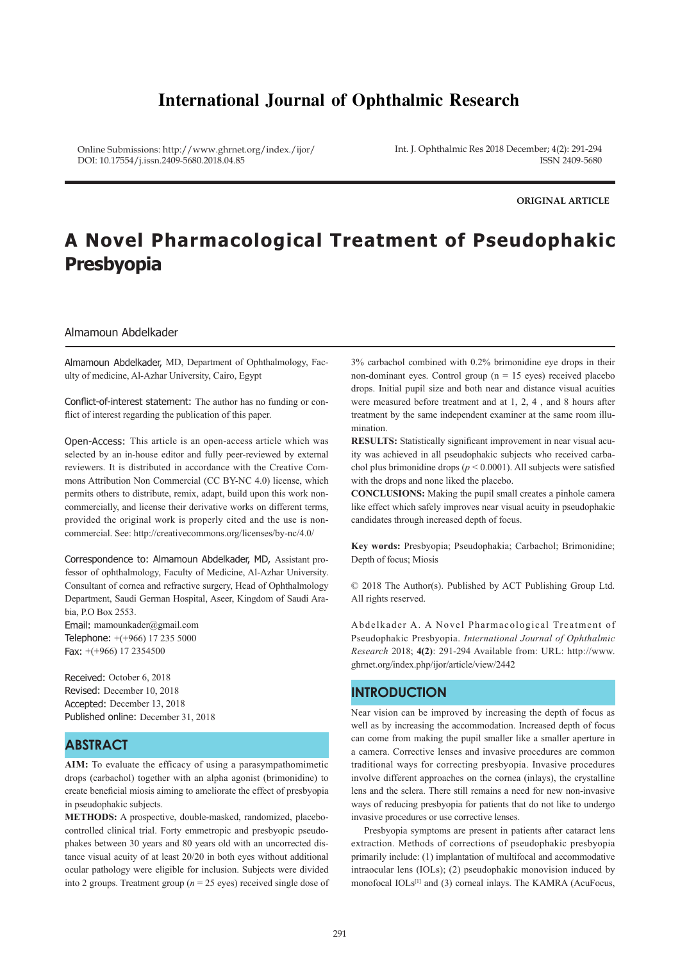# **International Journal of Ophthalmic Research**

Online Submissions: http://www.ghrnet.org/index./ijor/ DOI: 10.17554/j.issn.2409-5680.2018.04.85

Int. J. Ophthalmic Res 2018 December; 4(2): 291-294 ISSN 2409-5680

**ORIGINAL ARTICLE**

# **A Novel Pharmacological Treatment of Pseudophakic Presbyopia**

## Almamoun Abdelkader

Almamoun Abdelkader, MD, Department of Ophthalmology, Faculty of medicine, Al-Azhar University, Cairo, Egypt

Conflict-of-interest statement: The author has no funding or conflict of interest regarding the publication of this paper.

Open-Access: This article is an open-access article which was selected by an in-house editor and fully peer-reviewed by external reviewers. It is distributed in accordance with the Creative Commons Attribution Non Commercial (CC BY-NC 4.0) license, which permits others to distribute, remix, adapt, build upon this work noncommercially, and license their derivative works on different terms, provided the original work is properly cited and the use is noncommercial. See: http://creativecommons.org/licenses/by-nc/4.0/

Correspondence to: Almamoun Abdelkader, MD, Assistant professor of ophthalmology, Faculty of Medicine, Al-Azhar University. Consultant of cornea and refractive surgery, Head of Ophthalmology Department, Saudi German Hospital, Aseer, Kingdom of Saudi Arabia, P.O Box 2553. Email: mamounkader@gmail.com

Telephone: +(+966) 17 235 5000 Fax: +(+966) 17 2354500

Received: October 6, 2018 Revised: December 10, 2018 Accepted: December 13, 2018 Published online: December 31, 2018

# **ABSTRACT**

**AIM:** To evaluate the efficacy of using a parasympathomimetic drops (carbachol) together with an alpha agonist (brimonidine) to create beneficial miosis aiming to ameliorate the effect of presbyopia in pseudophakic subjects.

**METHODS:** A prospective, double-masked, randomized, placebocontrolled clinical trial. Forty emmetropic and presbyopic pseudophakes between 30 years and 80 years old with an uncorrected distance visual acuity of at least 20/20 in both eyes without additional ocular pathology were eligible for inclusion. Subjects were divided into 2 groups. Treatment group (*n* = 25 eyes) received single dose of 3% carbachol combined with 0.2% brimonidine eye drops in their non-dominant eyes. Control group ( $n = 15$  eyes) received placebo drops. Initial pupil size and both near and distance visual acuities were measured before treatment and at 1, 2, 4 , and 8 hours after treatment by the same independent examiner at the same room illumination.

**RESULTS:** Statistically significant improvement in near visual acuity was achieved in all pseudophakic subjects who received carbachol plus brimonidine drops ( $p \le 0.0001$ ). All subjects were satisfied with the drops and none liked the placebo.

**CONCLUSIONS:** Making the pupil small creates a pinhole camera like effect which safely improves near visual acuity in pseudophakic candidates through increased depth of focus.

**Key words:** Presbyopia; Pseudophakia; Carbachol; Brimonidine; Depth of focus; Miosis

© 2018 The Author(s). Published by ACT Publishing Group Ltd. All rights reserved.

Abdelkader A. A Novel Pharmacological Treatment of Pseudophakic Presbyopia. *International Journal of Ophthalmic Research* 2018; **4(2)**: 291-294 Available from: URL: http://www. ghrnet.org/index.php/ijor/article/view/2442

# **INTRODUCTION**

Near vision can be improved by increasing the depth of focus as well as by increasing the accommodation. Increased depth of focus can come from making the pupil smaller like a smaller aperture in a camera. Corrective lenses and invasive procedures are common traditional ways for correcting presbyopia. Invasive procedures involve different approaches on the cornea (inlays), the crystalline lens and the sclera. There still remains a need for new non-invasive ways of reducing presbyopia for patients that do not like to undergo invasive procedures or use corrective lenses.

 Presbyopia symptoms are present in patients after cataract lens extraction. Methods of corrections of pseudophakic presbyopia primarily include: (1) implantation of multifocal and accommodative intraocular lens (IOLs); (2) pseudophakic monovision induced by monofocal IOLs<sup>[1]</sup> and (3) corneal inlays. The KAMRA (AcuFocus,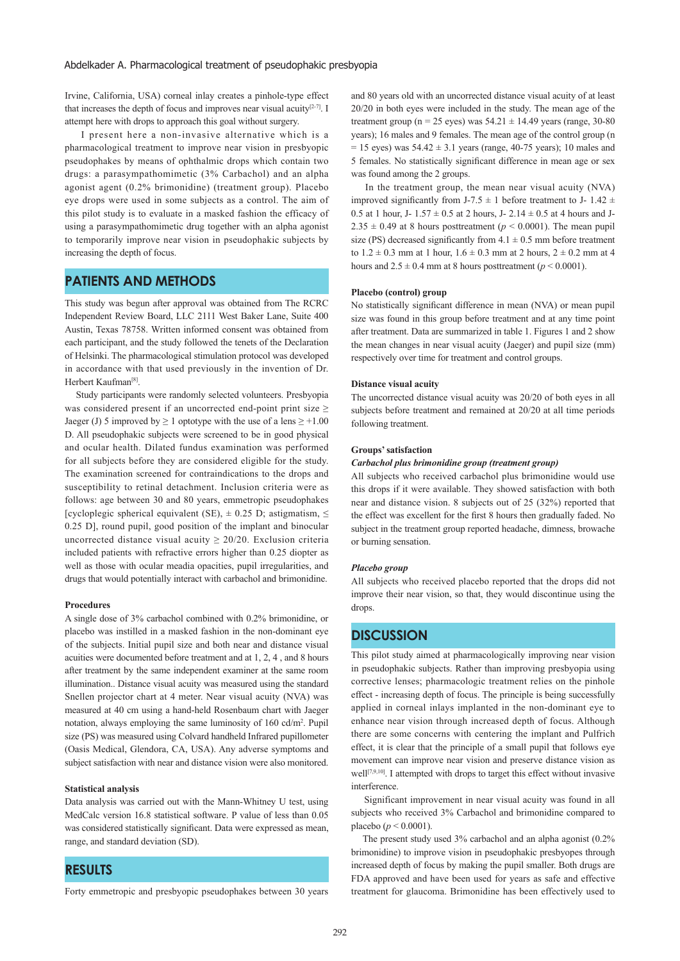Irvine, California, USA) corneal inlay creates a pinhole-type effect that increases the depth of focus and improves near visual acuity<sup>[2-7]</sup>. I attempt here with drops to approach this goal without surgery.

 I present here a non-invasive alternative which is a pharmacological treatment to improve near vision in presbyopic pseudophakes by means of ophthalmic drops which contain two drugs: a parasympathomimetic (3% Carbachol) and an alpha agonist agent (0.2% brimonidine) (treatment group). Placebo eye drops were used in some subjects as a control. The aim of this pilot study is to evaluate in a masked fashion the efficacy of using a parasympathomimetic drug together with an alpha agonist to temporarily improve near vision in pseudophakic subjects by increasing the depth of focus.

# **PATIENTS AND METHODS**

This study was begun after approval was obtained from The RCRC Independent Review Board, LLC 2111 West Baker Lane, Suite 400 Austin, Texas 78758. Written informed consent was obtained from each participant, and the study followed the tenets of the Declaration of Helsinki. The pharmacological stimulation protocol was developed in accordance with that used previously in the invention of Dr. Herbert Kaufman<sup>[8]</sup>.

 Study participants were randomly selected volunteers. Presbyopia was considered present if an uncorrected end-point print size  $\geq$ Jaeger (J) 5 improved by  $\geq 1$  optotype with the use of a lens  $\geq +1.00$ D. All pseudophakic subjects were screened to be in good physical and ocular health. Dilated fundus examination was performed for all subjects before they are considered eligible for the study. The examination screened for contraindications to the drops and susceptibility to retinal detachment. Inclusion criteria were as follows: age between 30 and 80 years, emmetropic pseudophakes [cycloplegic spherical equivalent (SE),  $\pm$  0.25 D; astigmatism,  $\leq$ 0.25 D], round pupil, good position of the implant and binocular uncorrected distance visual acuity  $\geq 20/20$ . Exclusion criteria included patients with refractive errors higher than 0.25 diopter as well as those with ocular meadia opacities, pupil irregularities, and drugs that would potentially interact with carbachol and brimonidine.

#### **Procedures**

A single dose of 3% carbachol combined with 0.2% brimonidine, or placebo was instilled in a masked fashion in the non-dominant eye of the subjects. Initial pupil size and both near and distance visual acuities were documented before treatment and at 1, 2, 4 , and 8 hours after treatment by the same independent examiner at the same room illumination.. Distance visual acuity was measured using the standard Snellen projector chart at 4 meter. Near visual acuity (NVA) was measured at 40 cm using a hand-held Rosenbaum chart with Jaeger notation, always employing the same luminosity of 160 cd/m<sup>2</sup>. Pupil size (PS) was measured using Colvard handheld Infrared pupillometer (Oasis Medical, Glendora, CA, USA). Any adverse symptoms and subject satisfaction with near and distance vision were also monitored.

#### **Statistical analysis**

Data analysis was carried out with the Mann-Whitney U test, using MedCalc version 16.8 statistical software. P value of less than 0.05 was considered statistically significant. Data were expressed as mean, range, and standard deviation (SD).

## **RESULTS**

Forty emmetropic and presbyopic pseudophakes between 30 years

and 80 years old with an uncorrected distance visual acuity of at least 20/20 in both eyes were included in the study. The mean age of the treatment group (n = 25 eyes) was  $54.21 \pm 14.49$  years (range, 30-80) years); 16 males and 9 females. The mean age of the control group (n  $= 15$  eyes) was  $54.42 \pm 3.1$  years (range, 40-75 years); 10 males and 5 females. No statistically significant difference in mean age or sex was found among the 2 groups.

 In the treatment group, the mean near visual acuity (NVA) improved significantly from J-7.5  $\pm$  1 before treatment to J- 1.42  $\pm$ 0.5 at 1 hour, J-  $1.57 \pm 0.5$  at 2 hours, J-  $2.14 \pm 0.5$  at 4 hours and J- $2.35 \pm 0.49$  at 8 hours posttreatment ( $p \le 0.0001$ ). The mean pupil size (PS) decreased significantly from  $4.1 \pm 0.5$  mm before treatment to  $1.2 \pm 0.3$  mm at 1 hour,  $1.6 \pm 0.3$  mm at 2 hours,  $2 \pm 0.2$  mm at 4 hours and  $2.5 \pm 0.4$  mm at 8 hours posttreatment ( $p \le 0.0001$ ).

## **Placebo (control) group**

No statistically significant difference in mean (NVA) or mean pupil size was found in this group before treatment and at any time point after treatment. Data are summarized in table 1. Figures 1 and 2 show the mean changes in near visual acuity (Jaeger) and pupil size (mm) respectively over time for treatment and control groups.

#### **Distance visual acuity**

The uncorrected distance visual acuity was 20/20 of both eyes in all subjects before treatment and remained at 20/20 at all time periods following treatment.

## **Groups' satisfaction**

## *Carbachol plus brimonidine group (treatment group)*

All subjects who received carbachol plus brimonidine would use this drops if it were available. They showed satisfaction with both near and distance vision. 8 subjects out of 25 (32%) reported that the effect was excellent for the first 8 hours then gradually faded. No subject in the treatment group reported headache, dimness, browache or burning sensation.

## *Placebo group*

All subjects who received placebo reported that the drops did not improve their near vision, so that, they would discontinue using the drops

## **DISCUSSION**

This pilot study aimed at pharmacologically improving near vision in pseudophakic subjects. Rather than improving presbyopia using corrective lenses; pharmacologic treatment relies on the pinhole effect - increasing depth of focus. The principle is being successfully applied in corneal inlays implanted in the non-dominant eye to enhance near vision through increased depth of focus. Although there are some concerns with centering the implant and Pulfrich effect, it is clear that the principle of a small pupil that follows eye movement can improve near vision and preserve distance vision as well[7,9,10]. I attempted with drops to target this effect without invasive interference.

 Significant improvement in near visual acuity was found in all subjects who received 3% Carbachol and brimonidine compared to placebo ( $p < 0.0001$ ).

 The present study used 3% carbachol and an alpha agonist (0.2% brimonidine) to improve vision in pseudophakic presbyopes through increased depth of focus by making the pupil smaller. Both drugs are FDA approved and have been used for years as safe and effective treatment for glaucoma. Brimonidine has been effectively used to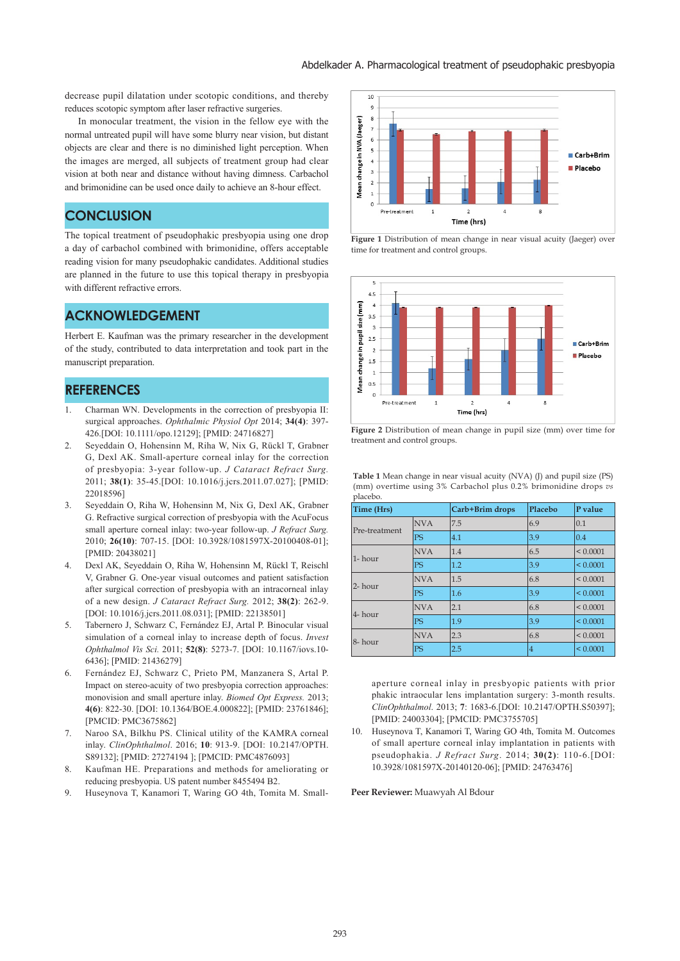decrease pupil dilatation under scotopic conditions, and thereby reduces scotopic symptom after laser refractive surgeries.

 In monocular treatment, the vision in the fellow eye with the normal untreated pupil will have some blurry near vision, but distant objects are clear and there is no diminished light perception. When the images are merged, all subjects of treatment group had clear vision at both near and distance without having dimness. Carbachol and brimonidine can be used once daily to achieve an 8-hour effect.

# **CONCLUSION**

The topical treatment of pseudophakic presbyopia using one drop a day of carbachol combined with brimonidine, offers acceptable reading vision for many pseudophakic candidates. Additional studies are planned in the future to use this topical therapy in presbyopia with different refractive errors.

## **ACKNOWLEDGEMENT**

Herbert E. Kaufman was the primary researcher in the development of the study, contributed to data interpretation and took part in the manuscript preparation.

## **REFERENCES**

- 1. Charman WN. Developments in the correction of presbyopia II: surgical approaches. *Ophthalmic Physiol Opt* 2014; **34(4)**: 397- 426.[DOI: 10.1111/opo.12129]; [PMID: 24716827]
- 2. Seyeddain O, Hohensinn M, Riha W, Nix G, Rückl T, Grabner G, Dexl AK. Small-aperture corneal inlay for the correction of presbyopia: 3-year follow-up. *J Cataract Refract Surg.*  2011; **38(1)**: 35-45.[DOI: 10.1016/j.jcrs.2011.07.027]; [PMID: 22018596]
- 3. Seyeddain O, Riha W, Hohensinn M, Nix G, Dexl AK, Grabner G. Refractive surgical correction of presbyopia with the AcuFocus small aperture corneal inlay: two-year follow-up. *J Refract Surg.*  2010; **26(10)**: 707-15. [DOI: 10.3928/1081597X-20100408-01]; [PMID: 20438021]
- 4. Dexl AK, Seyeddain O, Riha W, Hohensinn M, Rückl T, Reischl V, Grabner G. One-year visual outcomes and patient satisfaction after surgical correction of presbyopia with an intracorneal inlay of a new design. *J Cataract Refract Surg.* 2012; **38(2)**: 262-9. [DOI: 10.1016/j.jcrs.2011.08.031]; [PMID: 22138501]
- 5. Tabernero J, Schwarz C, Fernández EJ, Artal P. Binocular visual simulation of a corneal inlay to increase depth of focus. *Invest Ophthalmol Vis Sci.* 2011; **52(8)**: 5273-7. [DOI: 10.1167/iovs.10- 6436]; [PMID: 21436279]
- 6. Fernández EJ, Schwarz C, Prieto PM, Manzanera S, Artal P. Impact on stereo-acuity of two presbyopia correction approaches: monovision and small aperture inlay. *Biomed Opt Express.* 2013; **4(6)**: 822-30. [DOI: 10.1364/BOE.4.000822]; [PMID: 23761846]; [PMCID: PMC3675862]
- 7. Naroo SA, Bilkhu PS. Clinical utility of the KAMRA corneal inlay. *ClinOphthalmol*. 2016; **10**: 913-9. [DOI: 10.2147/OPTH. S89132]; [PMID: 27274194 ]; [PMCID: PMC4876093]
- 8. Kaufman HE. Preparations and methods for ameliorating or reducing presbyopia. US patent number 8455494 B2.
- 9. Huseynova T, Kanamori T, Waring GO 4th, Tomita M. Small-



**Figure 1** Distribution of mean change in near visual acuity (Jaeger) over time for treatment and control groups.





**Table 1** Mean change in near visual acuity (NVA) (J) and pupil size (PS) (mm) overtime using 3% Carbachol plus 0.2% brimonidine drops *vs* placebo.

| Time (Hrs)    |            | Carb+Brim drops | Placebo | P value       |
|---------------|------------|-----------------|---------|---------------|
| Pre-treatment | <b>NVA</b> | 7.5             | 6.9     | 0.1           |
|               | <b>PS</b>  | 4.1             | 3.9     | 0.4           |
| $1 - hour$    | <b>NVA</b> | 1.4             | 6.5     | < 0.0001      |
|               | <b>PS</b>  | 1.2             | 3.9     | < 0.0001      |
| 2-hour        | <b>NVA</b> | 1.5             | 6.8     | < 0.0001      |
|               | <b>PS</b>  | 1.6             | 3.9     | ${}_{0.0001}$ |
| 4- hour       | <b>NVA</b> | 2.1             | 6.8     | < 0.0001      |
|               | <b>PS</b>  | 1.9             | 3.9     | ${}_{0.0001}$ |
| 8-hour        | <b>NVA</b> | 2.3             | 6.8     | < 0.0001      |
|               | <b>PS</b>  | 2.5             | 4       | < 0.0001      |

aperture corneal inlay in presbyopic patients with prior phakic intraocular lens implantation surgery: 3-month results. *ClinOphthalmol*. 2013; **7**: 1683-6.[DOI: 10.2147/OPTH.S50397]; [PMID: 24003304]; [PMCID: PMC3755705]

10. Huseynova T, Kanamori T, Waring GO 4th, Tomita M. Outcomes of small aperture corneal inlay implantation in patients with pseudophakia. *J Refract Surg*. 2014; **30(2)**: 110-6.[DOI: 10.3928/1081597X-20140120-06]; [PMID: 24763476]

**Peer Reviewer:** Muawyah Al Bdour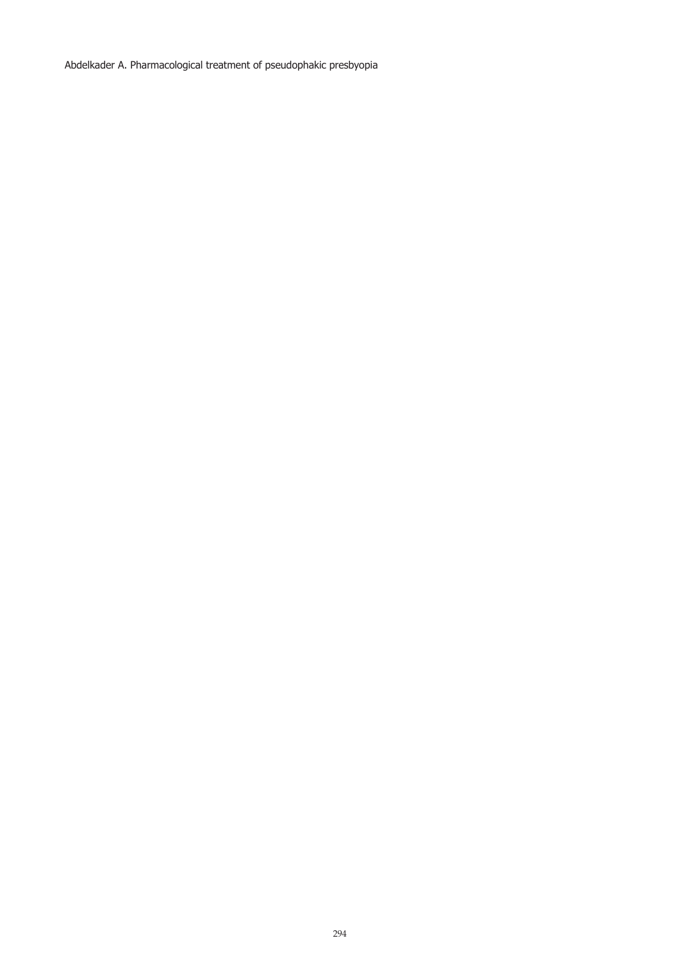Abdelkader A. Pharmacological treatment of pseudophakic presbyopia